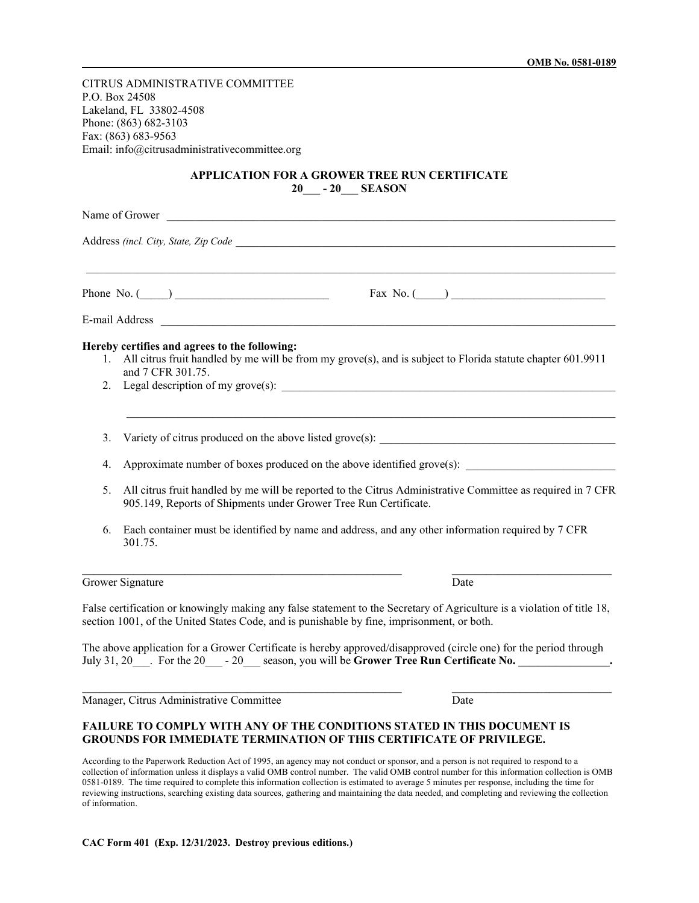CITRUS ADMINISTRATIVE COMMITTEE P.O. Box 24508 Lakeland, FL 33802-4508 Phone: (863) 682-3103 Fax: (863) 683-9563 Email: info@citrusadministrativecommittee.org

## **APPLICATION FOR A GROWER TREE RUN CERTIFICATE 20\_\_\_ - 20\_\_\_ SEASON**

| Name of Grower and The Communication of Grower |                                                                                                                                                                                 |                                                                                                                                                                                                      |
|------------------------------------------------|---------------------------------------------------------------------------------------------------------------------------------------------------------------------------------|------------------------------------------------------------------------------------------------------------------------------------------------------------------------------------------------------|
|                                                |                                                                                                                                                                                 |                                                                                                                                                                                                      |
|                                                |                                                                                                                                                                                 | E-mail Address                                                                                                                                                                                       |
| 1.<br>2.                                       | Hereby certifies and agrees to the following:<br>and 7 CFR 301.75.                                                                                                              | All citrus fruit handled by me will be from my grove(s), and is subject to Florida statute chapter 601.9911<br>Legal description of my grove(s):                                                     |
| 3.                                             |                                                                                                                                                                                 |                                                                                                                                                                                                      |
| 4.                                             | Approximate number of boxes produced on the above identified grove(s):                                                                                                          |                                                                                                                                                                                                      |
| 5.                                             | All citrus fruit handled by me will be reported to the Citrus Administrative Committee as required in 7 CFR<br>905.149, Reports of Shipments under Grower Tree Run Certificate. |                                                                                                                                                                                                      |
| 6.                                             | 301.75.                                                                                                                                                                         | Each container must be identified by name and address, and any other information required by 7 CFR                                                                                                   |
|                                                | Grower Signature                                                                                                                                                                | Date                                                                                                                                                                                                 |
|                                                | section 1001, of the United States Code, and is punishable by fine, imprisonment, or both.                                                                                      | False certification or knowingly making any false statement to the Secretary of Agriculture is a violation of title 18,                                                                              |
|                                                |                                                                                                                                                                                 | The above application for a Grower Certificate is hereby approved/disapproved (circle one) for the period through<br>July 31, 20 For the 20 - 20 season, you will be Grower Tree Run Certificate No. |
|                                                | Manager, Citrus Administrative Committee                                                                                                                                        | Date                                                                                                                                                                                                 |
|                                                |                                                                                                                                                                                 | <b>FAILURE TO COMPLY WITH ANY OF THE CONDITIONS STATED IN THIS DOCUMENT IS</b><br><b>GROUNDS FOR IMMEDIATE TERMINATION OF THIS CERTIFICATE OF PRIVILEGE.</b>                                         |

According to the Paperwork Reduction Act of 1995, an agency may not conduct or sponsor, and a person is not required to respond to a collection of information unless it displays a valid OMB control number. The valid OMB control number for this information collection is OMB 0581-0189. The time required to complete this information collection is estimated to average 5 minutes per response, including the time for reviewing instructions, searching existing data sources, gathering and maintaining the data needed, and completing and reviewing the collection of information.